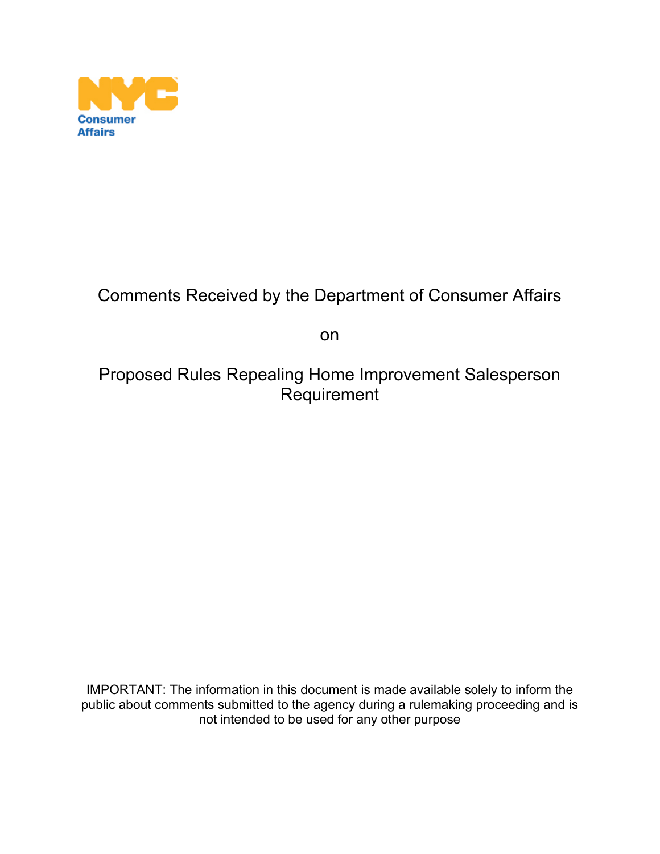

## Comments Received by the Department of Consumer Affairs

on

### Proposed Rules Repealing Home Improvement Salesperson Requirement

IMPORTANT: The information in this document is made available solely to inform the public about comments submitted to the agency during a rulemaking proceeding and is not intended to be used for any other purpose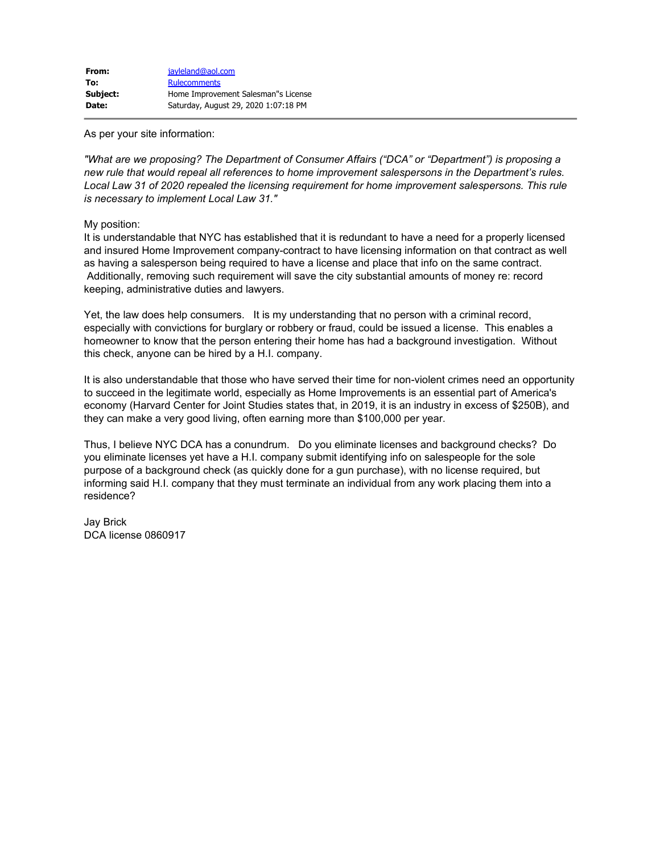As per your site information:

*"What are we proposing? The Department of Consumer Affairs ("DCA" or "Department") is proposing a new rule that would repeal all references to home improvement salespersons in the Department's rules. Local Law 31 of 2020 repealed the licensing requirement for home improvement salespersons. This rule is necessary to implement Local Law 31."*

My position:

It is understandable that NYC has established that it is redundant to have a need for a properly licensed and insured Home Improvement company-contract to have licensing information on that contract as well as having a salesperson being required to have a license and place that info on the same contract. Additionally, removing such requirement will save the city substantial amounts of money re: record keeping, administrative duties and lawyers.

Yet, the law does help consumers. It is my understanding that no person with a criminal record, especially with convictions for burglary or robbery or fraud, could be issued a license. This enables a homeowner to know that the person entering their home has had a background investigation. Without this check, anyone can be hired by a H.I. company.

It is also understandable that those who have served their time for non-violent crimes need an opportunity to succeed in the legitimate world, especially as Home Improvements is an essential part of America's economy (Harvard Center for Joint Studies states that, in 2019, it is an industry in excess of \$250B), and they can make a very good living, often earning more than \$100,000 per year.

Thus, I believe NYC DCA has a conundrum. Do you eliminate licenses and background checks? Do you eliminate licenses yet have a H.I. company submit identifying info on salespeople for the sole purpose of a background check (as quickly done for a gun purchase), with no license required, but informing said H.I. company that they must terminate an individual from any work placing them into a residence?

Jay Brick DCA license 0860917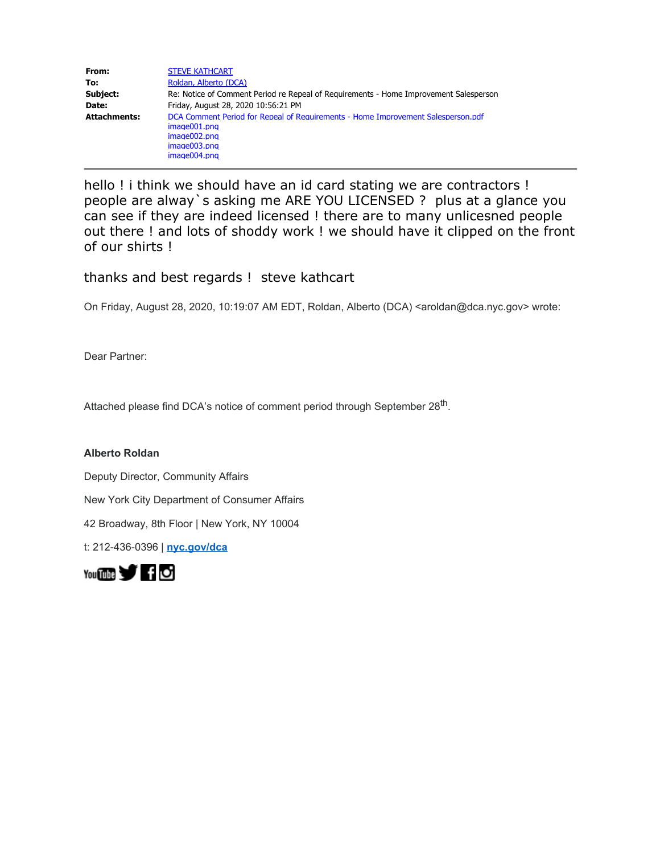| From:               | <b>STEVE KATHCART</b>                                                                                                                            |
|---------------------|--------------------------------------------------------------------------------------------------------------------------------------------------|
| To:                 | Roldan, Alberto (DCA)                                                                                                                            |
| Subject:            | Re: Notice of Comment Period re Repeal of Requirements - Home Improvement Salesperson                                                            |
| Date:               | Friday, August 28, 2020 10:56:21 PM                                                                                                              |
| <b>Attachments:</b> | DCA Comment Period for Repeal of Requirements - Home Improvement Salesperson.pdf<br>image001.png<br>image002.png<br>image003.png<br>image004.png |

hello ! i think we should have an id card stating we are contractors ! people are alway`s asking me ARE YOU LICENSED ? plus at a glance you can see if they are indeed licensed ! there are to many unlicesned people out there ! and lots of shoddy work ! we should have it clipped on the front of our shirts !

### thanks and best regards ! steve kathcart

On Friday, August 28, 2020, 10:19:07 AM EDT, Roldan, Alberto (DCA) <aroldan@dca.nyc.gov> wrote:

Dear Partner:

Attached please find DCA's notice of comment period through September 28<sup>th</sup>.

**Alberto Roldan**

Deputy Director, Community Affairs

New York City Department of Consumer Affairs

42 Broadway, 8th Floor | New York, NY 10004

t: 212-436-0396 | **[nyc.gov/dca](https://gcc01.safelinks.protection.outlook.com/?url=http%3A%2F%2Fwww1.nyc.gov%2Fsite%2Fdca%2Findex.page&data=02%7C01%7CARoldan%40dca.nyc.gov%7C8fcfe6b8e5a7442ab23408d84bc6e4ef%7C32f56fc75f814e22a95b15da66513bef%7C0%7C0%7C637342665804489535&sdata=vro1%2FiNl8BBcott%2BztWIL8b%2BbMTFl3%2BsGTMDuYs1xOA%3D&reserved=0)**

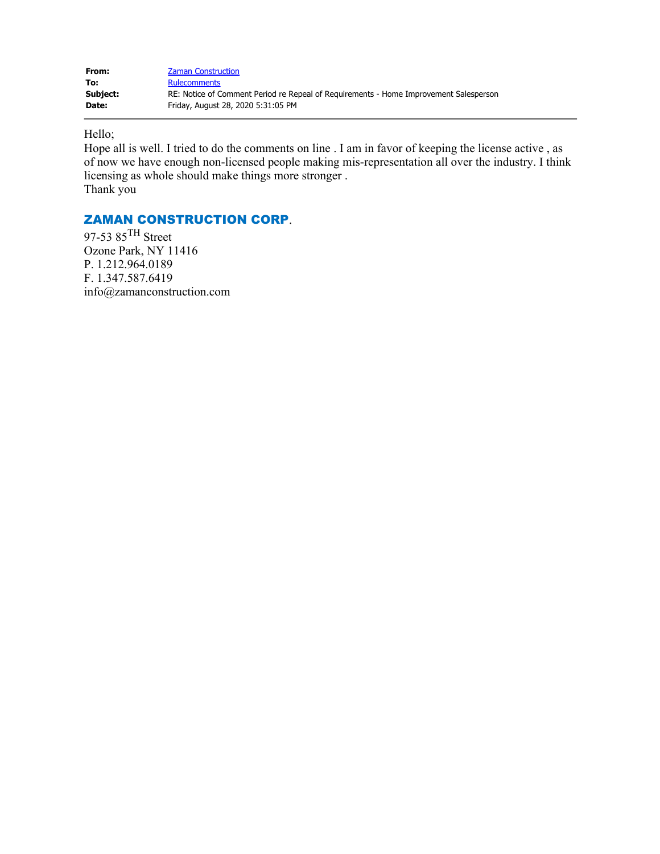| From:    | <b>Zaman Construction</b>                                                             |
|----------|---------------------------------------------------------------------------------------|
| To:      | <b>Rulecomments</b>                                                                   |
| Subject: | RE: Notice of Comment Period re Repeal of Requirements - Home Improvement Salesperson |
| Date:    | Friday, August 28, 2020 5:31:05 PM                                                    |

Hello;

Hope all is well. I tried to do the comments on line . I am in favor of keeping the license active , as of now we have enough non-licensed people making mis-representation all over the industry. I think licensing as whole should make things more stronger . Thank you

### ZAMAN CONSTRUCTION CORP.

97-53 85TH Street Ozone Park, NY 11416 P. 1.212.964.0189 F. 1.347.587.6419 info@zamanconstruction.com